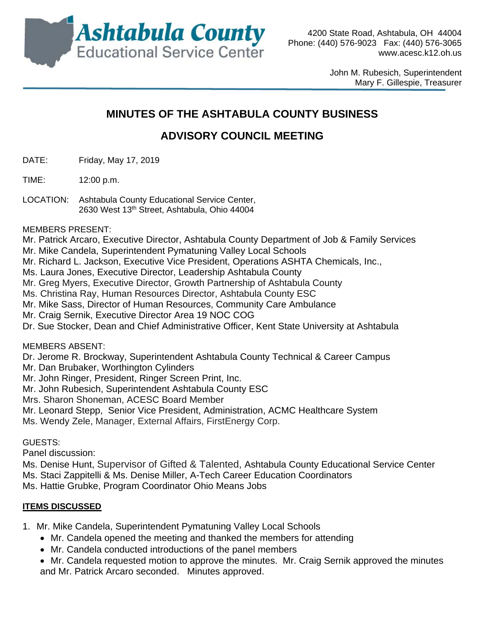

John M. Rubesich, Superintendent Mary F. Gillespie, Treasurer

# **MINUTES OF THE ASHTABULA COUNTY BUSINESS**

# **ADVISORY COUNCIL MEETING**

- DATE: Friday, May 17, 2019
- TIME: 12:00 p.m.
- LOCATION: Ashtabula County Educational Service Center, 2630 West 13th Street, Ashtabula, Ohio 44004

MEMBERS PRESENT:

Mr. Patrick Arcaro, Executive Director, Ashtabula County Department of Job & Family Services

- Mr. Mike Candela, Superintendent Pymatuning Valley Local Schools
- Mr. Richard L. Jackson, Executive Vice President, Operations ASHTA Chemicals, Inc.,
- Ms. Laura Jones, Executive Director, Leadership Ashtabula County
- Mr. Greg Myers, Executive Director, Growth Partnership of Ashtabula County
- Ms. Christina Ray, Human Resources Director, Ashtabula County ESC
- Mr. Mike Sass, Director of Human Resources, Community Care Ambulance
- Mr. Craig Sernik, Executive Director Area 19 NOC COG
- Dr. Sue Stocker, Dean and Chief Administrative Officer, Kent State University at Ashtabula

MEMBERS ABSENT:

Dr. Jerome R. Brockway, Superintendent Ashtabula County Technical & Career Campus

- Mr. Dan Brubaker, Worthington Cylinders
- Mr. John Ringer, President, Ringer Screen Print, Inc.
- Mr. John Rubesich, Superintendent Ashtabula County ESC
- Mrs. Sharon Shoneman, ACESC Board Member
- Mr. Leonard Stepp, Senior Vice President, Administration, ACMC Healthcare System
- Ms. Wendy Zele, Manager, External Affairs, FirstEnergy Corp.

#### GUESTS:

Panel discussion:

Ms. Denise Hunt, Supervisor of Gifted & Talented, Ashtabula County Educational Service Center Ms. Staci Zappitelli & Ms. Denise Miller, A-Tech Career Education Coordinators Ms. Hattie Grubke, Program Coordinator Ohio Means Jobs

#### **ITEMS DISCUSSED**

1. Mr. Mike Candela, Superintendent Pymatuning Valley Local Schools

- Mr. Candela opened the meeting and thanked the members for attending
- Mr. Candela conducted introductions of the panel members

 Mr. Candela requested motion to approve the minutes. Mr. Craig Sernik approved the minutes and Mr. Patrick Arcaro seconded. Minutes approved.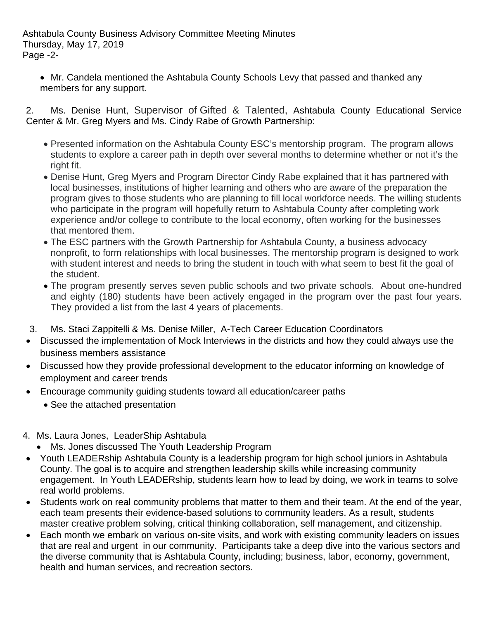Ashtabula County Business Advisory Committee Meeting Minutes Thursday, May 17, 2019 Page -2-

 Mr. Candela mentioned the Ashtabula County Schools Levy that passed and thanked any members for any support.

2. Ms. Denise Hunt, Supervisor of Gifted & Talented, Ashtabula County Educational Service Center & Mr. Greg Myers and Ms. Cindy Rabe of Growth Partnership:

- Presented information on the Ashtabula County ESC's mentorship program. The program allows students to explore a career path in depth over several months to determine whether or not it's the right fit.
- Denise Hunt, Greg Myers and Program Director Cindy Rabe explained that it has partnered with local businesses, institutions of higher learning and others who are aware of the preparation the program gives to those students who are planning to fill local workforce needs. The willing students who participate in the program will hopefully return to Ashtabula County after completing work experience and/or college to contribute to the local economy, often working for the businesses that mentored them.
- The ESC partners with the Growth Partnership for Ashtabula County, a business advocacy nonprofit, to form relationships with local businesses. The mentorship program is designed to work with student interest and needs to bring the student in touch with what seem to best fit the goal of the student.
- The program presently serves seven public schools and two private schools. About one-hundred and eighty (180) students have been actively engaged in the program over the past four years. They provided a list from the last 4 years of placements.
- 3. Ms. Staci Zappitelli & Ms. Denise Miller, A-Tech Career Education Coordinators
- Discussed the implementation of Mock Interviews in the districts and how they could always use the business members assistance
- Discussed how they provide professional development to the educator informing on knowledge of employment and career trends
- Encourage community guiding students toward all education/career paths
	- See the attached presentation
- 4. Ms. Laura Jones, LeaderShip Ashtabula
	- Ms. Jones discussed The Youth Leadership Program
- Youth LEADERship Ashtabula County is a leadership program for high school juniors in Ashtabula County. The goal is to acquire and strengthen leadership skills while increasing community engagement. In Youth LEADERship, students learn how to lead by doing, we work in teams to solve real world problems.
- Students work on real community problems that matter to them and their team. At the end of the year, each team presents their evidence-based solutions to community leaders. As a result, students master creative problem solving, critical thinking collaboration, self management, and citizenship.
- Each month we embark on various on-site visits, and work with existing community leaders on issues that are real and urgent in our community. Participants take a deep dive into the various sectors and the diverse community that is Ashtabula County, including; business, labor, economy, government, health and human services, and recreation sectors.